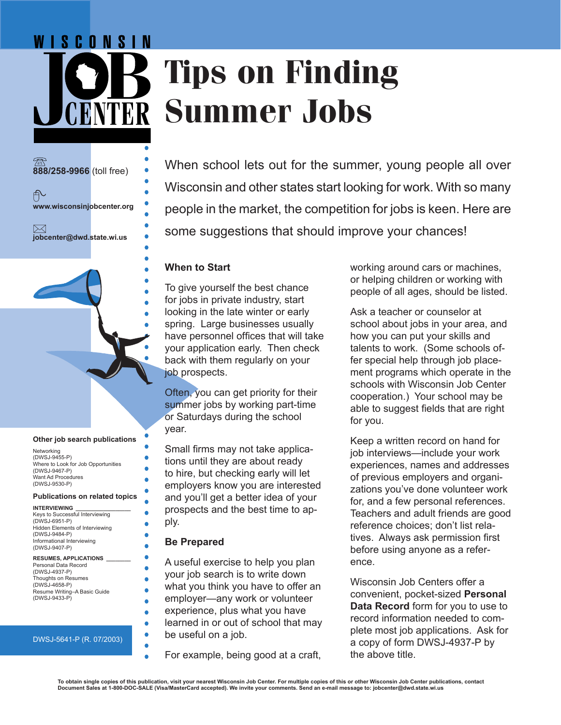# WISCONSIN **Tips on Finding KNTER Summer Jobs**

**888/258-9966** (toll free) ∱ **www.wisconsinjobcenter.org**  $\bowtie$ **jobcenter@dwd.state.wi.us**

#### **Other job search publications**

Networking (DWSJ-9455-P) Where to Look for Job Opportunities (DWSJ-9467-P) Want Ad Procedures (DWSJ-9530-P)

#### **Publications on related topics**

| <b>INTERVIEWING</b>             |  |
|---------------------------------|--|
| Keys to Successful Interviewing |  |
| (DWSJ-6951-P)                   |  |
| Hidden Elements of Interviewing |  |
| (DWSJ-9484-P)                   |  |
| Informational Interviewing      |  |
| (DWSJ-9407-P)                   |  |

#### **RESUMES, APPLICATIONS \_\_\_\_\_\_\_\_**

Personal Data Record (DWSJ-4937-P) Thoughts on Resumes (DWSJ-4658-P) Resume Writing–A Basic Guide (DWSJ-9433-P)

#### DWSJ-5641-P (R. 07/2003)

When school lets out for the summer, young people all over Wisconsin and other states start looking for work. With so many people in the market, the competition for jobs is keen. Here are some suggestions that should improve your chances!

#### **When to Start**

To give yourself the best chance for jobs in private industry, start looking in the late winter or early spring. Large businesses usually have personnel offices that will take your application early. Then check back with them regularly on your job prospects.

Often, you can get priority for their summer jobs by working part-time or Saturdays during the school year.

Small firms may not take applications until they are about ready to hire, but checking early will let employers know you are interested and you'll get a better idea of your prospects and the best time to apply.

#### **Be Prepared**

ö

A useful exercise to help you plan your job search is to write down what you think you have to offer an employer—any work or volunteer experience, plus what you have learned in or out of school that may be useful on a job.

For example, being good at a craft,

working around cars or machines, or helping children or working with people of all ages, should be listed.

Ask a teacher or counselor at school about jobs in your area, and how you can put your skills and talents to work. (Some schools offer special help through job placement programs which operate in the schools with Wisconsin Job Center cooperation.) Your school may be able to suggest fields that are right for you.

Keep a written record on hand for job interviews—include your work experiences, names and addresses of previous employers and organizations you've done volunteer work for, and a few personal references. Teachers and adult friends are good reference choices; don't list relatives. Always ask permission first before using anyone as a reference.

Wisconsin Job Centers offer a convenient, pocket-sized **Personal Data Record** form for you to use to record information needed to complete most job applications. Ask for a copy of form DWSJ-4937-P by the above title.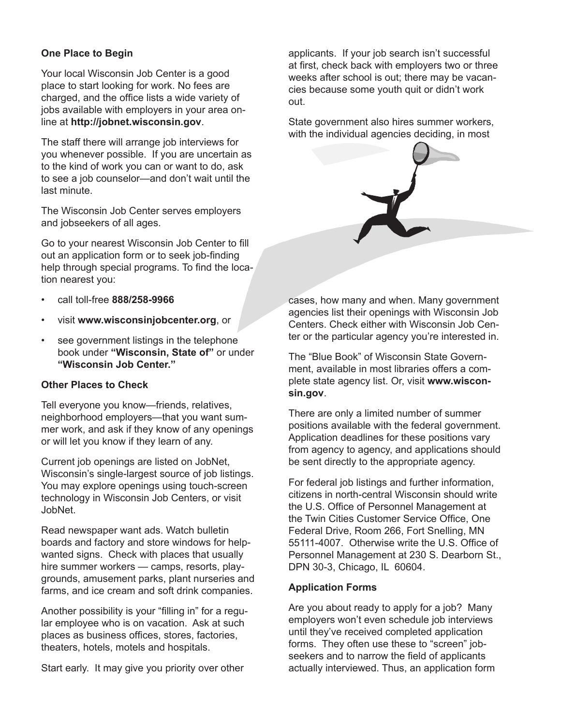# **One Place to Begin**

Your local Wisconsin Job Center is a good place to start looking for work. No fees are charged, and the office lists a wide variety of jobs available with employers in your area online at **http://jobnet.wisconsin.gov**.

The staff there will arrange job interviews for you whenever possible. If you are uncertain as to the kind of work you can or want to do, ask to see a job counselor—and don't wait until the last minute.

The Wisconsin Job Center serves employers and jobseekers of all ages.

Go to your nearest Wisconsin Job Center to fill out an application form or to seek job-finding help through special programs. To find the location nearest you:

- call toll-free **888/258-9966**
- visit **www.wisconsinjobcenter.org**, or
- see government listings in the telephone book under **"Wisconsin, State of"** or under **"Wisconsin Job Center."**

## **Other Places to Check**

Tell everyone you know—friends, relatives, neighborhood employers—that you want summer work, and ask if they know of any openings or will let you know if they learn of any.

Current job openings are listed on JobNet, Wisconsin's single-largest source of job listings. You may explore openings using touch-screen technology in Wisconsin Job Centers, or visit JobNet.

Read newspaper want ads. Watch bulletin boards and factory and store windows for helpwanted signs. Check with places that usually hire summer workers — camps, resorts, playgrounds, amusement parks, plant nurseries and farms, and ice cream and soft drink companies.

Another possibility is your "filling in" for a regular employee who is on vacation. Ask at such places as business offices, stores, factories, theaters, hotels, motels and hospitals.

Start early. It may give you priority over other

applicants. If your job search isn't successful at first, check back with employers two or three weeks after school is out; there may be vacancies because some youth quit or didn't work out.

State government also hires summer workers, with the individual agencies deciding, in most



cases, how many and when. Many government agencies list their openings with Wisconsin Job Centers. Check either with Wisconsin Job Center or the particular agency you're interested in.

The "Blue Book" of Wisconsin State Government, available in most libraries offers a complete state agency list. Or, visit **www.wisconsin.gov**.

There are only a limited number of summer positions available with the federal government. Application deadlines for these positions vary from agency to agency, and applications should be sent directly to the appropriate agency.

For federal job listings and further information, citizens in north-central Wisconsin should write the U.S. Office of Personnel Management at the Twin Cities Customer Service Office, One Federal Drive, Room 266, Fort Snelling, MN 55111-4007. Otherwise write the U.S. Office of Personnel Management at 230 S. Dearborn St., DPN 30-3, Chicago, IL 60604.

## **Application Forms**

Are you about ready to apply for a job? Many employers won't even schedule job interviews until they've received completed application forms. They often use these to "screen" jobseekers and to narrow the field of applicants actually interviewed. Thus, an application form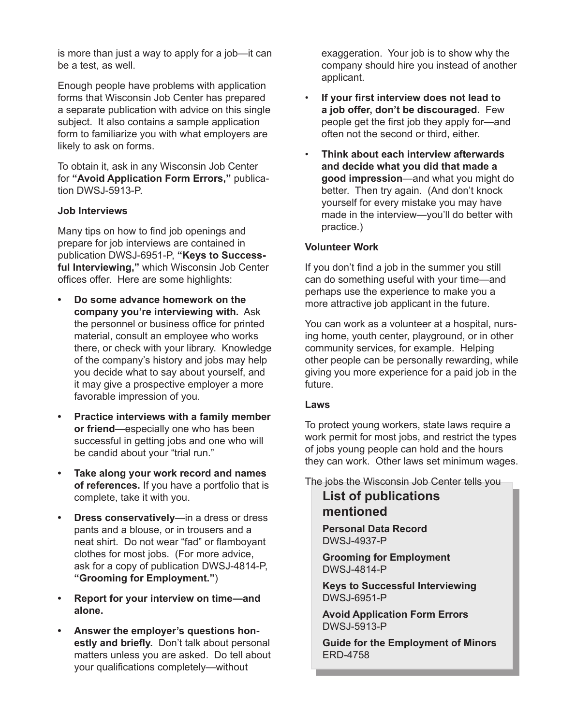is more than just a way to apply for a job—it can be a test, as well.

Enough people have problems with application forms that Wisconsin Job Center has prepared a separate publication with advice on this single subject. It also contains a sample application form to familiarize you with what employers are likely to ask on forms.

To obtain it, ask in any Wisconsin Job Center for **"Avoid Application Form Errors,"** publication DWSJ-5913-P.

## **Job Interviews**

Many tips on how to find job openings and prepare for job interviews are contained in publication DWSJ-6951-P, **"Keys to Successful Interviewing,"** which Wisconsin Job Center offices offer. Here are some highlights:

- **• Do some advance homework on the company you're interviewing with.** Ask the personnel or business office for printed material, consult an employee who works there, or check with your library. Knowledge of the company's history and jobs may help you decide what to say about yourself, and it may give a prospective employer a more favorable impression of you.
- **• Practice interviews with a family member or friend**—especially one who has been successful in getting jobs and one who will be candid about your "trial run."
- **• Take along your work record and names of references.** If you have a portfolio that is complete, take it with you.
- **• Dress conservatively**—in a dress or dress pants and a blouse, or in trousers and a neat shirt. Do not wear "fad" or flamboyant clothes for most jobs. (For more advice, ask for a copy of publication DWSJ-4814-P, **"Grooming for Employment."**)
- **• Report for your interview on time—and alone.**
- **• Answer the employer's questions honestly and briefly.** Don't talk about personal matters unless you are asked. Do tell about your qualifications completely—without

exaggeration. Your job is to show why the company should hire you instead of another applicant.

- **If your first interview does not lead to a job offer, don't be discouraged.** Few people get the first job they apply for—and often not the second or third, either.
- **Think about each interview afterwards and decide what you did that made a good impression**—and what you might do better. Then try again. (And don't knock yourself for every mistake you may have made in the interview—you'll do better with practice.)

## **Volunteer Work**

If you don't find a job in the summer you still can do something useful with your time—and perhaps use the experience to make you a more attractive job applicant in the future.

You can work as a volunteer at a hospital, nursing home, youth center, playground, or in other community services, for example. Helping other people can be personally rewarding, while giving you more experience for a paid job in the future.

## **Laws**

To protect young workers, state laws require a work permit for most jobs, and restrict the types of jobs young people can hold and the hours they can work. Other laws set minimum wages.

The jobs the Wisconsin Job Center tells you

# **List of publications mentioned**

**Personal Data Record** DWSJ-4937-P

**Grooming for Employment** DWSJ-4814-P

**Keys to Successful Interviewing** DWSJ-6951-P

**Avoid Application Form Errors** DWSJ-5913-P

**Guide for the Employment of Minors** ERD-4758